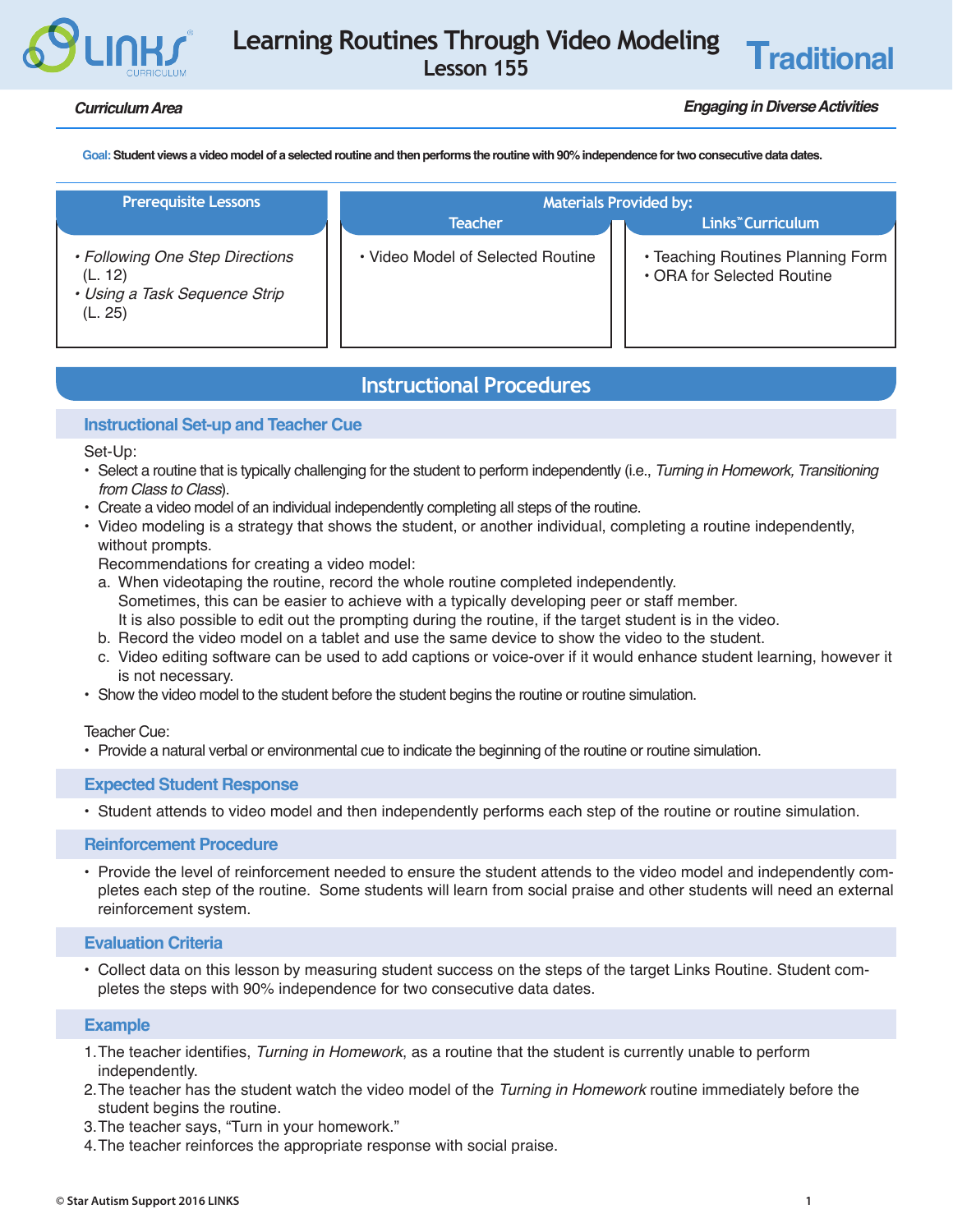# **Learning Routines Through Video Modeling Lesson 155 Traditional**

## *Curriculum Area Engaging in Diverse Activities*

**Goal: Student views a video model of a selected routine and then performs the routine with 90% independence for two consecutive data dates.** 

| <b>Prerequisite Lessons</b>                                                            | <b>Materials Provided by:</b>     |                                                                 |  |  |  |
|----------------------------------------------------------------------------------------|-----------------------------------|-----------------------------------------------------------------|--|--|--|
|                                                                                        | <b>Teacher</b>                    | <b>Links<sup>™</sup> Curriculum</b>                             |  |  |  |
| • Following One Step Directions<br>(L. 12)<br>• Using a Task Sequence Strip<br>(L. 25) | • Video Model of Selected Routine | • Teaching Routines Planning Form<br>• ORA for Selected Routine |  |  |  |

## **Instructional Procedures**

## **Instructional Set-up and Teacher Cue**

Set-Up:

- Select a routine that is typically challenging for the student to perform independently (i.e., *Turning in Homework, Transitioning from Class to Class*).
- Create a video model of an individual independently completing all steps of the routine.
- Video modeling is a strategy that shows the student, or another individual, completing a routine independently, without prompts.
	- Recommendations for creating a video model:
	- a. When videotaping the routine, record the whole routine completed independently. Sometimes, this can be easier to achieve with a typically developing peer or staff member. It is also possible to edit out the prompting during the routine, if the target student is in the video.
	- b. Record the video model on a tablet and use the same device to show the video to the student.
	- c. Video editing software can be used to add captions or voice-over if it would enhance student learning, however it is not necessary.
- Show the video model to the student before the student begins the routine or routine simulation.

• Provide a natural verbal or environmental cue to indicate the beginning of the routine or routine simulation.

#### **Expected Student Response**

• Student attends to video model and then independently performs each step of the routine or routine simulation.

#### **Reinforcement Procedure**

• Provide the level of reinforcement needed to ensure the student attends to the video model and independently completes each step of the routine. Some students will learn from social praise and other students will need an external reinforcement system.

## **Evaluation Criteria**

• Collect data on this lesson by measuring student success on the steps of the target Links Routine. Student completes the steps with 90% independence for two consecutive data dates.

## **Example**

- 1. The teacher identifies, *Turning in Homework*, as a routine that the student is currently unable to perform independently.
- 2.The teacher has the student watch the video model of the *Turning in Homework* routine immediately before the student begins the routine.
- 3.The teacher says, "Turn in your homework."
- 4.The teacher reinforces the appropriate response with social praise.

Teacher Cue: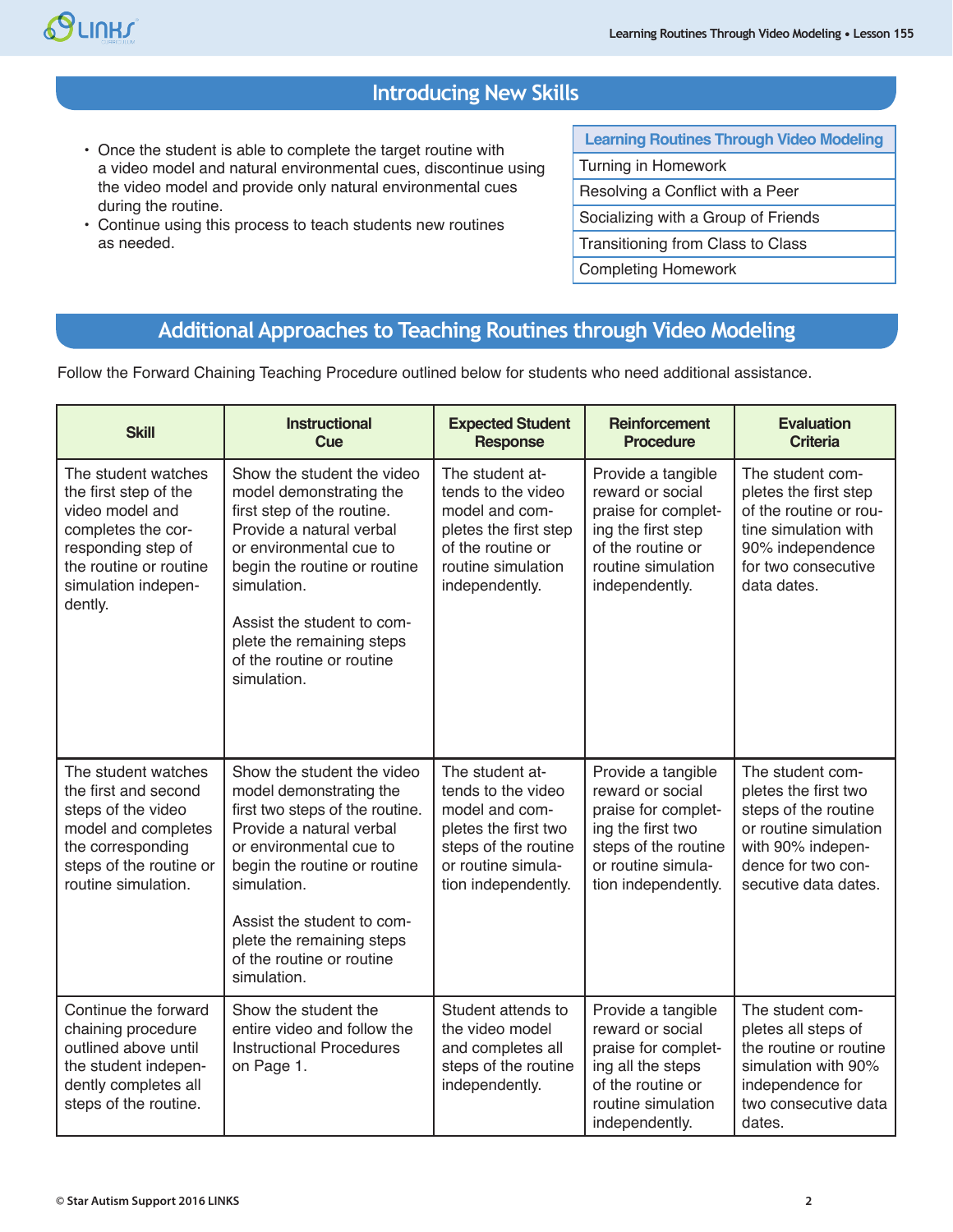

# **Introducing New Skills**

- Once the student is able to complete the target routine with a video model and natural environmental cues, discontinue using the video model and provide only natural environmental cues during the routine.
- Continue using this process to teach students new routines as needed.

**Learning Routines Through Video Modeling** Turning in Homework Resolving a Conflict with a Peer Socializing with a Group of Friends Transitioning from Class to Class Completing Homework

# **Additional Approaches to Teaching Routines through Video Modeling**

Follow the Forward Chaining Teaching Procedure outlined below for students who need additional assistance.

| <b>Skill</b>                                                                                                                                                            | <b>Instructional</b><br><b>Cue</b>                                                                                                                                                                                                                                                                    | <b>Expected Student</b><br><b>Response</b>                                                                                                           | <b>Reinforcement</b><br><b>Procedure</b>                                                                                                                | <b>Evaluation</b><br><b>Criteria</b>                                                                                                                         |
|-------------------------------------------------------------------------------------------------------------------------------------------------------------------------|-------------------------------------------------------------------------------------------------------------------------------------------------------------------------------------------------------------------------------------------------------------------------------------------------------|------------------------------------------------------------------------------------------------------------------------------------------------------|---------------------------------------------------------------------------------------------------------------------------------------------------------|--------------------------------------------------------------------------------------------------------------------------------------------------------------|
| The student watches<br>the first step of the<br>video model and<br>completes the cor-<br>responding step of<br>the routine or routine<br>simulation indepen-<br>dently. | Show the student the video<br>model demonstrating the<br>first step of the routine.<br>Provide a natural verbal<br>or environmental cue to<br>begin the routine or routine<br>simulation.<br>Assist the student to com-<br>plete the remaining steps<br>of the routine or routine<br>simulation.      | The student at-<br>tends to the video<br>model and com-<br>pletes the first step<br>of the routine or<br>routine simulation<br>independently.        | Provide a tangible<br>reward or social<br>praise for complet-<br>ing the first step<br>of the routine or<br>routine simulation<br>independently.        | The student com-<br>pletes the first step<br>of the routine or rou-<br>tine simulation with<br>90% independence<br>for two consecutive<br>data dates.        |
| The student watches<br>the first and second<br>steps of the video<br>model and completes<br>the corresponding<br>steps of the routine or<br>routine simulation.         | Show the student the video<br>model demonstrating the<br>first two steps of the routine.<br>Provide a natural verbal<br>or environmental cue to<br>begin the routine or routine<br>simulation.<br>Assist the student to com-<br>plete the remaining steps<br>of the routine or routine<br>simulation. | The student at-<br>tends to the video<br>model and com-<br>pletes the first two<br>steps of the routine<br>or routine simula-<br>tion independently. | Provide a tangible<br>reward or social<br>praise for complet-<br>ing the first two<br>steps of the routine<br>or routine simula-<br>tion independently. | The student com-<br>pletes the first two<br>steps of the routine<br>or routine simulation<br>with 90% indepen-<br>dence for two con-<br>secutive data dates. |
| Continue the forward<br>chaining procedure<br>outlined above until<br>the student indepen-<br>dently completes all<br>steps of the routine.                             | Show the student the<br>entire video and follow the<br><b>Instructional Procedures</b><br>on Page 1.                                                                                                                                                                                                  | Student attends to<br>the video model<br>and completes all<br>steps of the routine<br>independently.                                                 | Provide a tangible<br>reward or social<br>praise for complet-<br>ing all the steps<br>of the routine or<br>routine simulation<br>independently.         | The student com-<br>pletes all steps of<br>the routine or routine<br>simulation with 90%<br>independence for<br>two consecutive data<br>dates.               |